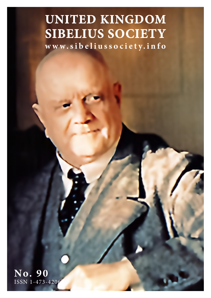# **UNITED KINGDOM SIBELIUS SOCIETY**

**www.sibeliussociety.info**

**No. 90** ISSN 1-473-4206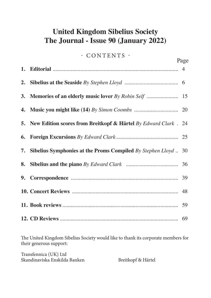# **United Kingdom Sibelius Society The Journal - Issue 90 (January 2022)**

### - CONTENTS -

Page

| 3. Memories of an elderly music lover By Robin Self  15                   |  |
|---------------------------------------------------------------------------|--|
|                                                                           |  |
| <b>5.</b> New Edition scores from Breitkopf & Härtel By Edward Clark . 24 |  |
|                                                                           |  |
| 7. Sibelius Symphonies at the Proms Compiled By Stephen Lloyd  30         |  |
|                                                                           |  |
|                                                                           |  |
|                                                                           |  |
|                                                                           |  |
|                                                                           |  |

The United Kingdom Sibelius Society would like to thank its corporate members for their generous support:

Transfennica (UK) Ltd Skandinaviska Enskilda Banken Breitkopf & Härtel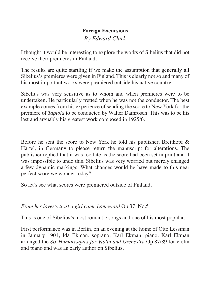## **Foreign Excursions**

*By Edward Clark*

I thought it would be interesting to explore the works of Sibelius that did not receive their premieres in Finland.

The results are quite startling if we make the assumption that generally all Sibelius's premieres were given in Finland. This is clearly not so and many of his most important works were premiered outside his native country.

Sibelius was very sensitive as to whom and when premieres were to be undertaken. He particularly fretted when he was not the conductor. The best example comes from his experience of sending the score to New York for the premiere of *Tapiola* to be conducted by Walter Damrosch. This was to be his last and arguably his greatest work composed in 1925/6.

Before he sent the score to New York he told his publisher, Breitkopf & Härtel, in Germany to please return the manuscript for alterations. The publisher replied that it was too late as the score had been set in print and it was impossible to undo this. Sibelius was very worried but merely changed a few dynamic markings. What changes would he have made to this near perfect score we wonder today?

So let's see what scores were premiered outside of Finland.

#### *From her lover's tryst a girl came homeward* Op.37, No.5

This is one of Sibelius's most romantic songs and one of his most popular.

First performance was in Berlin, on an evening at the home of Otto Lessman in January 1901, Ida Ekman, soprano, Karl Ekman, piano. Karl Ekman arranged the *Six Humoresques for Violin and Orchestra* Op.87/89 for violin and piano and was an early author on Sibelius.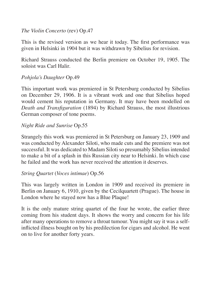#### *The Violin Concerto* (rev) Op.47

This is the revised version as we hear it today. The first performance was given in Helsinki in 1904 but it was withdrawn by Sibelius for revision.

Richard Strauss conducted the Berlin premiere on October 19, 1905. The soloist was Carl Halir.

#### *Pohjola's Daughter* Op.49

This important work was premiered in St Petersburg conducted by Sibelius on December 29, 1906. It is a vibrant work and one that Sibelius hoped would cement his reputation in Germany. It may have been modelled on *Death and Transfiguration* (1894) by Richard Strauss, the most illustrious German composer of tone poems.

#### *Night Ride and Sunrise* Op.55

Strangely this work was premiered in St Petersburg on January 23, 1909 and was conducted by Alexander Siloti, who made cuts and the premiere was not successful. It was dedicated to Madam Siloti so presumably Sibelius intended to make a bit of a splash in this Russian city near to Helsinki. In which case he failed and the work has never received the attention it deserves.

#### *String Quartet* (*Voces intimae*) Op.56

This was largely written in London in 1909 and received its premiere in Berlin on January 6, 1910, given by the Cecilquartett (Prague). The house in London where he stayed now has a Blue Plaque!

It is the only mature string quartet of the four he wrote, the earlier three coming from his student days. It shows the worry and concern for his life after many operations to remove a throat tumour. You might say it was a selfinflicted illness bought on by his predilection for cigars and alcohol. He went on to live for another forty years.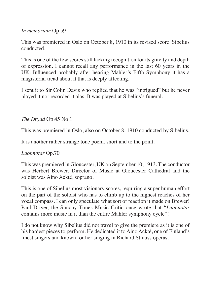*In memoriam* Op.59

This was premiered in Oslo on October 8, 1910 in its revised score. Sibelius conducted.

This is one of the few scores still lacking recognition for its gravity and depth of expression. I cannot recall any performance in the last 60 years in the UK. Influenced probably after hearing Mahler's Fifth Symphony it has a magisterial tread about it that is deeply affecting.

I sent it to Sir Colin Davis who replied that he was "intrigued" but he never played it nor recorded it alas. It was played at Sibelius's funeral.

*The Dryad* Op.45 No.1

This was premiered in Oslo, also on October 8, 1910 conducted by Sibelius.

It is another rather strange tone poem, short and to the point.

#### *Luonnotar* Op.70

This was premiered in Gloucester, UK on September 10, 1913. The conductor was Herbert Brewer, Director of Music at Gloucester Cathedral and the soloist was Aino Ackté, soprano.

This is one of Sibelius most visionary scores, requiring a super human effort on the part of the soloist who has to climb up to the highest reaches of her vocal compass. I can only speculate what sort of reaction it made on Brewer! Paul Driver, the Sunday Times Music Critic once wrote that "*Luonnotar* contains more music in it than the entire Mahler symphony cycle"!

I do not know why Sibelius did not travel to give the premiere as it is one of his hardest pieces to perform. He dedicated it to Aino Ackté, one of Finland's finest singers and known for her singing in Richard Strauss operas.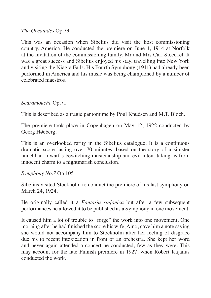*The Oceanides* Op.73

This was an occasion when Sibelius did visit the host commissioning country, America. He conducted the premiere on June 4, 1914 at Norfolk at the invitation of the commissioning family, Mr and Mrs Carl Stoeckel. It was a great success and Sibelius enjoyed his stay, travelling into New York and visiting the Niagra Falls. His Fourth Symphony (1911) had already been performed in America and his music was being championed by a number of celebrated maestros.

#### *Scaramouche* Op.71

This is described as a tragic pantomime by Poul Knudsen and M.T. Bloch.

The premiere took place in Copenhagen on May 12, 1922 conducted by Georg Høeberg.

This is an overlooked rarity in the Sibelius catalogue. It is a continuous dramatic score lasting over 70 minutes, based on the story of a sinister hunchback dwarf's bewitching musicianship and evil intent taking us from innocent charm to a nightmarish conclusion.

#### *Symphony No.7* Op.105

Sibelius visited Stockholm to conduct the premiere of his last symphony on March 24, 1924.

He originally called it a *Fantasia sinfonica* but after a few subsequent performances he allowed it to be published as a Symphony in one movement.

It caused him a lot of trouble to "forge" the work into one movement. One morning after he had finished the score his wife, Aino, gave him a note saying she would not accompany him to Stockholm after her feeling of disgrace due his to recent intoxication in front of an orchestra. She kept her word and never again attended a concert he conducted, few as they were. This may account for the late Finnish premiere in 1927, when Robert Kajanus conducted the work.